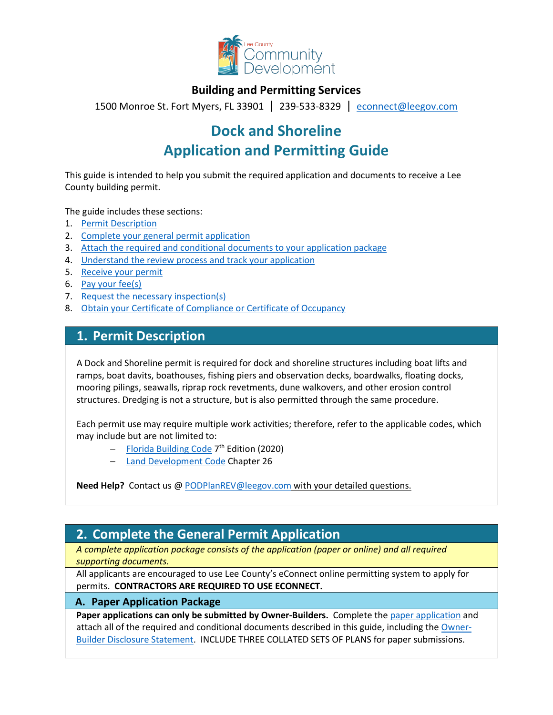

## **Building and Permitting Services**

1500 Monroe St. Fort Myers, FL 33901 | 239-533-8329 |[econnect@leegov.com](mailto:econnect@leegov.com)

# **Dock and Shoreline Application and Permitting Guide**

This guide is intended to help you submit the required application and documents to receive a Lee County building permit.

The guide includes these sections:

- 1. [Permit Description](#page-0-0)
- 2. [Complete your general permit application](#page-0-1)
- 3. [Attach the required and conditional documents to your application package](#page-3-0)
- 4. [Understand the review process and track your application](#page-6-0)
- 5. [Receive your permit](#page-7-0)
- 6. [Pay your fee\(s\)](#page-7-1)
- 7. [Request the necessary inspection\(s\)](#page-7-2)
- 8. [Obtain your Certificate of Compliance or Certificate of Occupancy](#page-8-0)

## <span id="page-0-0"></span>**1. Permit Description**

A Dock and Shoreline permit is required for dock and shoreline structures including boat lifts and ramps, boat davits, boathouses, fishing piers and observation decks, boardwalks, floating docks, mooring pilings, seawalls, riprap rock revetments, dune walkovers, and other erosion control structures. Dredging is not a structure, but is also permitted through the same procedure.

Each permit use may require multiple work activities; therefore, refer to the applicable codes, which may include but are not limited to:

- − [Florida Building Code](https://codes.iccsafe.org/codes/florida) 7th Edition (2020)
- − [Land Development Code](https://library.municode.com/fl/lee_county/codes/land_development_code?nodeId=LADECOLECOFL) Chapter 26

**Need Help?** Contact us @ [PODPlanREV@leegov.com](mailto:PODPlanREV@leegov.com) with your detailed questions.

## <span id="page-0-1"></span>**2. Complete the General Permit Application**

*A complete application package consists of the application (paper or online) and all required supporting documents.*

All applicants are encouraged to use Lee County's eConnect online permitting system to apply for permits. **CONTRACTORS ARE REQUIRED TO USE ECONNECT.**

#### **A. Paper Application Package**

Paper applications can only be submitted by Owner-Builders. Complete the [paper application](https://www.leegov.com/dcd/PermittingDocs/DockandShorelineApp.pdf) and attach all of the required and conditional documents described in this guide, including the [Owner-](https://www.leegov.com/dcd/PermittingDocs/OwnerBldrDisclosure.pdf)[Builder Disclosure Statement.](https://www.leegov.com/dcd/PermittingDocs/OwnerBldrDisclosure.pdf) INCLUDE THREE COLLATED SETS OF PLANS for paper submissions.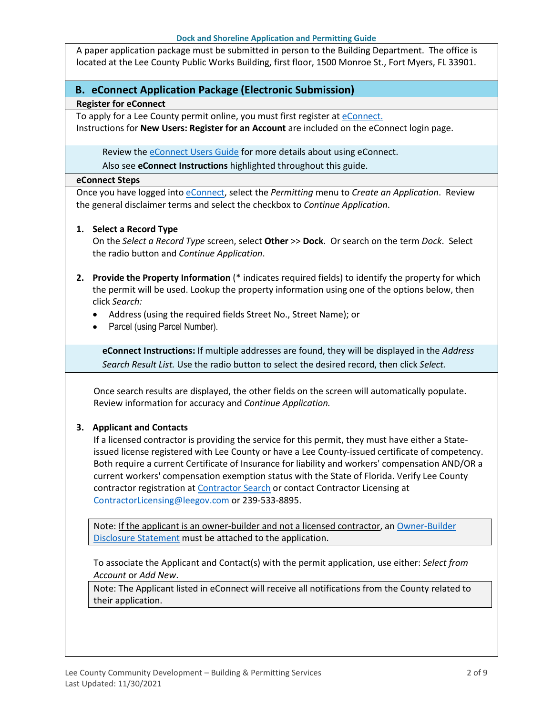#### **Dock and Shoreline Application and Permitting Guide**

A paper application package must be submitted in person to the Building Department. The office is located at the Lee County Public Works Building, first floor, 1500 Monroe St., Fort Myers, FL 33901.

#### **B. eConnect Application Package (Electronic Submission)**

#### **Register for eConnect**

To apply for a Lee County permit online, you must first register at [eConnect.](https://accelaaca.leegov.com/aca/) Instructions for **New Users: Register for an Account** are included on the eConnect login page.

Review th[e eConnect Users Guide](https://www.leegov.com/dcd/Documents/eServ/eConnect/eServicesGuide.pdf) for more details about using eConnect.

Also see **eConnect Instructions** highlighted throughout this guide.

#### **eConnect Steps**

Once you have logged into [eConnect,](https://accelaaca.leegov.com/aca/) select the *Permitting* menu to *Create an Application*. Review the general disclaimer terms and select the checkbox to *Continue Application*.

#### **1. Select a Record Type**

On the *Select a Record Type* screen, select **Other** >> **Dock**. Or search on the term *Dock*. Select the radio button and *Continue Application*.

- **2. Provide the Property Information** (\* indicates required fields) to identify the property for which the permit will be used. Lookup the property information using one of the options below, then click *Search:*
	- Address (using the required fields Street No., Street Name); or
	- Parcel (using Parcel Number).

**eConnect Instructions:** If multiple addresses are found, they will be displayed in the *Address Search Result List.* Use the radio button to select the desired record, then click *Select.*

Once search results are displayed, the other fields on the screen will automatically populate. Review information for accuracy and *Continue Application.*

#### **3. Applicant and Contacts**

If a licensed contractor is providing the service for this permit, they must have either a Stateissued license registered with Lee County or have a Lee County-issued certificate of competency. Both require a current Certificate of Insurance for liability and workers' compensation AND/OR a current workers' compensation exemption status with the State of Florida. Verify Lee County contractor registration at [Contractor Search](https://www.leegov.com/dcd/ContLic/ActCont) or contact Contractor Licensing at [ContractorLicensing@leegov.com](mailto:ContractorLicensing@leegov.com) or 239-533-8895.

Note: If the applicant is an owner-builder and not a licensed contractor, a[n Owner-Builder](https://www.leegov.com/dcd/PermittingDocs/OwnerBldrDisclosure.pdf)  [Disclosure Statement](https://www.leegov.com/dcd/PermittingDocs/OwnerBldrDisclosure.pdf) must be attached to the application.

To associate the Applicant and Contact(s) with the permit application, use either: *Select from Account* or *Add New*.

Note: The Applicant listed in eConnect will receive all notifications from the County related to their application.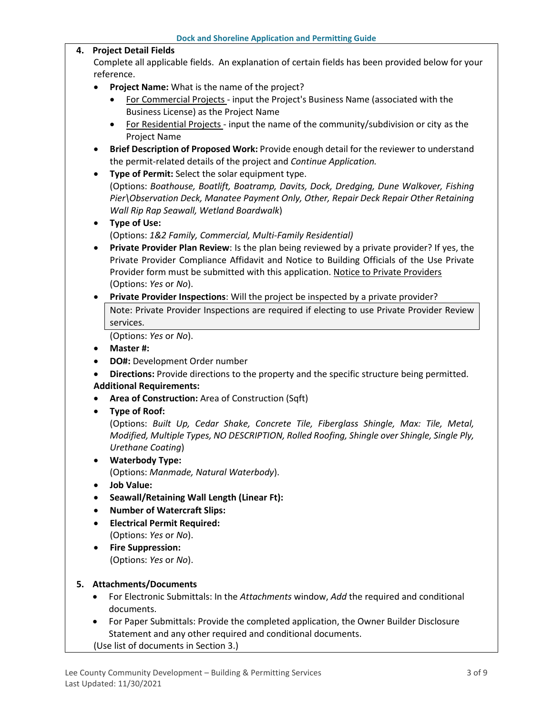#### **4. Project Detail Fields**

Complete all applicable fields. An explanation of certain fields has been provided below for your reference.

- **Project Name:** What is the name of the project?
	- For Commercial Projects input the Project's Business Name (associated with the Business License) as the Project Name
	- For Residential Projects input the name of the community/subdivision or city as the Project Name
- **Brief Description of Proposed Work:** Provide enough detail for the reviewer to understand the permit-related details of the project and *Continue Application.*
- **Type of Permit:** Select the solar equipment type.

(Options: *Boathouse, Boatlift, Boatramp, Davits, Dock, Dredging, Dune Walkover, Fishing Pier\Observation Deck, Manatee Payment Only, Other, Repair Deck Repair Other Retaining Wall Rip Rap Seawall, Wetland Boardwalk*)

- **Type of Use:** (Options: *1&2 Family, Commercial, Multi-Family Residential)*
- **Private Provider Plan Review**: Is the plan being reviewed by a private provider? If yes, the Private Provider Compliance Affidavit and Notice to Building Officials of the Use Private Provider form must be submitted with this application. [Notice to Private Providers](https://www.floridabuilding.org/fbc/committees/Private_Providers/Private_Providers.htm) (Options: *Yes* or *No*).
- **Private Provider Inspections**: Will the project be inspected by a private provider? Note: Private Provider Inspections are required if electing to use Private Provider Review services.

(Options: *Yes* or *No*).

- **Master #:**
- **DO#:** Development Order number
- **Directions:** Provide directions to the property and the specific structure being permitted.
- **Additional Requirements:**
- **Area of Construction:** Area of Construction (Sqft)
- **Type of Roof:**

(Options: *Built Up, Cedar Shake, Concrete Tile, Fiberglass Shingle, Max: Tile, Metal, Modified, Multiple Types, NO DESCRIPTION, Rolled Roofing, Shingle over Shingle, Single Ply, Urethane Coating*)

• **Waterbody Type:**

(Options: *Manmade, Natural Waterbody*).

- **Job Value:**
- **Seawall/Retaining Wall Length (Linear Ft):**
- **Number of Watercraft Slips:**
- **Electrical Permit Required:** (Options: *Yes* or *No*).
- **Fire Suppression:** (Options: *Yes* or *No*).

#### **5. Attachments/Documents**

- For Electronic Submittals: In the *Attachments* window, *Add* the required and conditional documents.
- For Paper Submittals: Provide the completed application, the Owner Builder Disclosure Statement and any other required and conditional documents.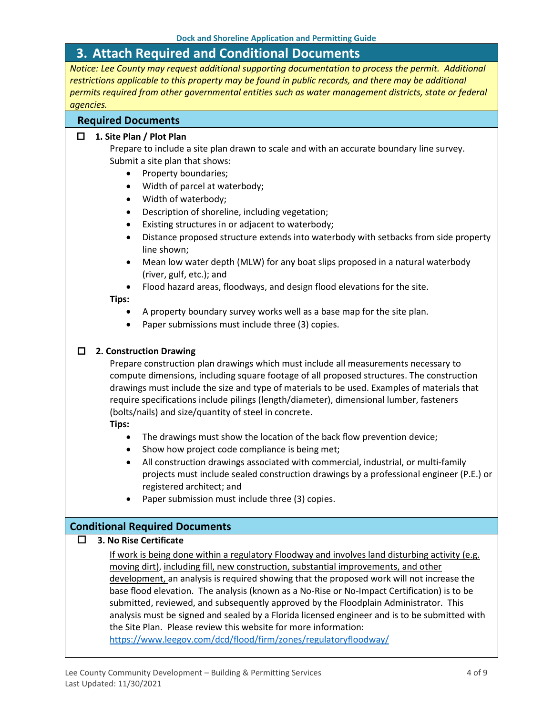## <span id="page-3-0"></span>**3. Attach Required and Conditional Documents**

*Notice: Lee County may request additional supporting documentation to process the permit. Additional restrictions applicable to this property may be found in public records, and there may be additional permits required from other governmental entities such as water management districts, state or federal agencies.*

#### **Required Documents**

#### **1. Site Plan / Plot Plan**

- Prepare to include a site plan drawn to scale and with an accurate boundary line survey. Submit a site plan that shows:
	- Property boundaries;
	- Width of parcel at waterbody;
	- Width of waterbody;
	- Description of shoreline, including vegetation;
	- Existing structures in or adjacent to waterbody;
	- Distance proposed structure extends into waterbody with setbacks from side property line shown;
	- Mean low water depth (MLW) for any boat slips proposed in a natural waterbody (river, gulf, etc.); and
	- Flood hazard areas, floodways, and design flood elevations for the site.

**Tips:**

- A property boundary survey works well as a base map for the site plan.
- Paper submissions must include three (3) copies.

#### **2. Construction Drawing**

Prepare construction plan drawings which must include all measurements necessary to compute dimensions, including square footage of all proposed structures. The construction drawings must include the size and type of materials to be used. Examples of materials that require specifications include pilings (length/diameter), dimensional lumber, fasteners (bolts/nails) and size/quantity of steel in concrete.

**Tips:**

- The drawings must show the location of the back flow prevention device;
- Show how project code compliance is being met;
- All construction drawings associated with commercial, industrial, or multi-family projects must include sealed construction drawings by a professional engineer (P.E.) or registered architect; and
- Paper submission must include three (3) copies.

#### **Conditional Required Documents**

#### **3. No Rise Certificate**

If work is being done within a regulatory Floodway and involves land disturbing activity (e.g. moving dirt), including fill, new construction, substantial improvements, and other development, an analysis is required showing that the proposed work will not increase the base flood elevation. The analysis (known as a No-Rise or No-Impact Certification) is to be submitted, reviewed, and subsequently approved by the Floodplain Administrator. This analysis must be signed and sealed by a Florida licensed engineer and is to be submitted with the Site Plan. Please review this website for more information:

<https://www.leegov.com/dcd/flood/firm/zones/regulatoryfloodway/>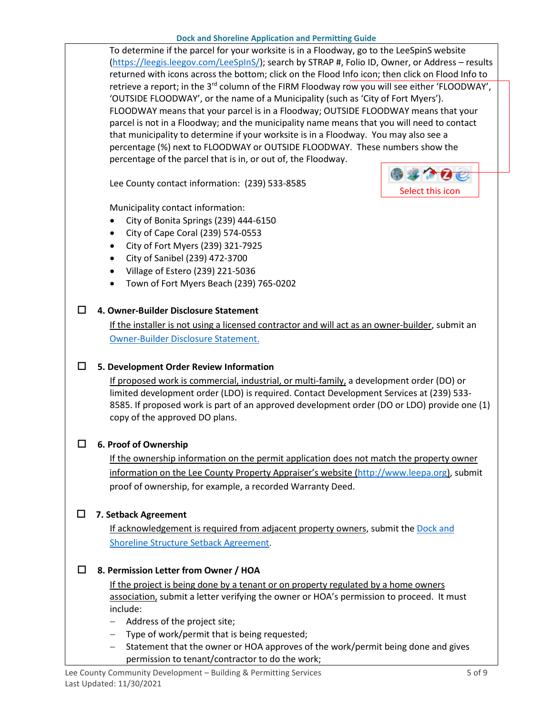#### **Dock and Shoreline Application and Permitting Guide**

To determine if the parcel for your worksite is in a Floodway, go to the LeeSpinS website [\(https://leegis.leegov.com/LeeSpInS/\)](https://leegis.leegov.com/LeeSpInS/); search by STRAP #, Folio ID, Owner, or Address – results returned with icons across the bottom; click on the Flood Info icon; then click on Flood Info to retrieve a report; in the 3<sup>rd</sup> column of the FIRM Floodway row you will see either 'FLOODWAY', 'OUTSIDE FLOODWAY', or the name of a Municipality (such as 'City of Fort Myers'). FLOODWAY means that your parcel is in a Floodway; OUTSIDE FLOODWAY means that your parcel is not in a Floodway; and the municipality name means that you will need to contact that municipality to determine if your worksite is in a Floodway. You may also see a percentage (%) next to FLOODWAY or OUTSIDE FLOODWAY. These numbers show the percentage of the parcel that is in, or out of, the Floodway.

Lee County contact information: (239) 533-8585



Municipality contact information:

- City of Bonita Springs (239) 444-6150
- City of Cape Coral (239) 574-0553
- City of Fort Myers (239) 321-7925
- City of Sanibel (239) 472-3700
- Village of Estero (239) 221-5036
- Town of Fort Myers Beach (239) 765-0202

#### **4. Owner-Builder Disclosure Statement**

If the installer is not using a licensed contractor and will act as an owner-builder, submit an [Owner-Builder Disclosure Statement.](https://www.leegov.com/dcd/PermittingDocs/OwnerBldrDisclosure.pdf)

#### **5. Development Order Review Information**

If proposed work is commercial, industrial, or multi-family, a development order (DO) or limited development order (LDO) is required. Contact Development Services at (239) 533- 8585. If proposed work is part of an approved development order (DO or LDO) provide one (1) copy of the approved DO plans.

#### **6. Proof of Ownership**

If the ownership information on the permit application does not match the property owner information on the Lee County Property Appraiser's website [\(http://www.leepa.org\)](http://www.leepa.org/), submit proof of ownership, for example, a recorded Warranty Deed.

#### **7. Setback Agreement**

If acknowledgement is required from adjacent property owners, submit th[e Dock and](https://www.leegov.com/dcd/PermittingDocs/DockSetbackAgrmt.pdf)  [Shoreline Structure Setback Agreement](https://www.leegov.com/dcd/PermittingDocs/DockSetbackAgrmt.pdf).

### **8. Permission Letter from Owner / HOA**

If the project is being done by a tenant or on property regulated by a home owners association, submit a letter verifying the owner or HOA's permission to proceed. It must include:

- − Address of the project site;
- − Type of work/permit that is being requested;
- − Statement that the owner or HOA approves of the work/permit being done and gives permission to tenant/contractor to do the work;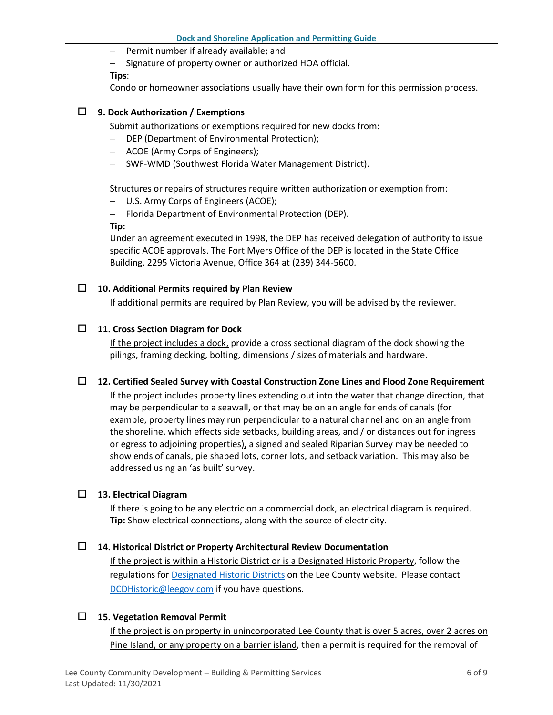Permit number if already available; and

− Signature of property owner or authorized HOA official.

**Tips**:

Condo or homeowner associations usually have their own form for this permission process.

#### $\Box$  9. Dock Authorization / Exemptions

Submit authorizations or exemptions required for new docks from:

- − DEP (Department of Environmental Protection);
- − ACOE (Army Corps of Engineers);
- − SWF-WMD (Southwest Florida Water Management District).

Structures or repairs of structures require written authorization or exemption from:

- − U.S. Army Corps of Engineers (ACOE);
- − Florida Department of Environmental Protection (DEP).

#### **Tip:**

Under an agreement executed in 1998, the DEP has received delegation of authority to issue specific ACOE approvals. The Fort Myers Office of the DEP is located in the State Office Building, 2295 Victoria Avenue, Office 364 at (239) 344-5600.

#### **10. Additional Permits required by Plan Review**

If additional permits are required by Plan Review, you will be advised by the reviewer.

#### **11. Cross Section Diagram for Dock**

If the project includes a dock, provide a cross sectional diagram of the dock showing the pilings, framing decking, bolting, dimensions / sizes of materials and hardware.

#### **12. Certified Sealed Survey with Coastal Construction Zone Lines and Flood Zone Requirement**

If the project includes property lines extending out into the water that change direction, that may be perpendicular to a seawall, or that may be on an angle for ends of canals (for example, property lines may run perpendicular to a natural channel and on an angle from the shoreline, which effects side setbacks, building areas, and / or distances out for ingress or egress to adjoining properties), a signed and sealed Riparian Survey may be needed to show ends of canals, pie shaped lots, corner lots, and setback variation. This may also be addressed using an 'as built' survey.

#### **13. Electrical Diagram**

If there is going to be any electric on a commercial dock, an electrical diagram is required. **Tip:** Show electrical connections, along with the source of electricity.

#### **14. Historical District or Property Architectural Review Documentation**

If the project is within a Historic District or is a Designated Historic Property, follow the regulations for **Designated Historic Districts** on the Lee County website. Please contact [DCDHistoric@leegov.com](mailto:DCDHistoric@leegov.com) if you have questions.

#### **15. Vegetation Removal Permit**

If the project is on property in unincorporated Lee County that is over 5 acres, over 2 acres on Pine Island, or any property on a barrier island, then a permit is required for the removal of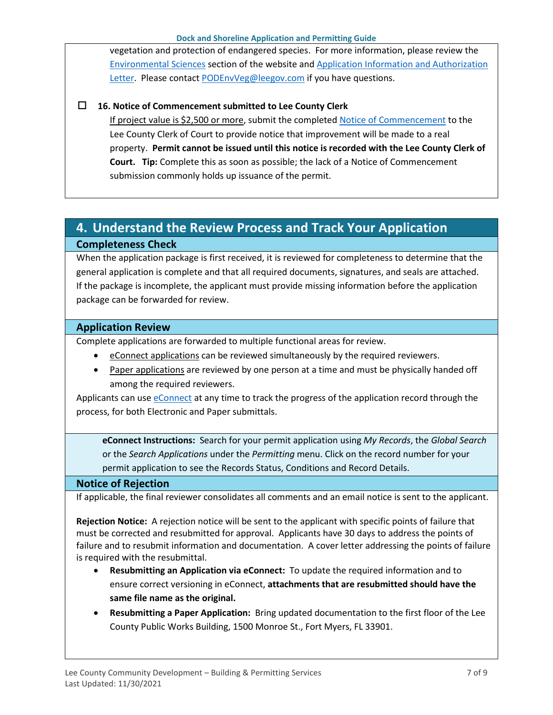vegetation and protection of endangered species. For more information, please review the [Environmental Sciences](https://www.leegov.com/dcd/es) section of the website and [Application Information and Authorization](https://www.leegov.com/dcd/es/apps)  [Letter.](https://www.leegov.com/dcd/es/apps) Please contac[t PODEnvVeg@leegov.com](mailto:PODEnvVeg@leegov.com) if you have questions.

#### **16. Notice of Commencement submitted to Lee County Clerk**

If project value is \$2,500 or more, submit the completed [Notice of Commencement](https://www.leegov.com/dcd/PermittingDocs/NoticeofCommencement.pdf) to the Lee County Clerk of Court to provide notice that improvement will be made to a real property. **Permit cannot be issued until this notice is recorded with the Lee County Clerk of Court. Tip:** Complete this as soon as possible; the lack of a Notice of Commencement submission commonly holds up issuance of the permit.

## <span id="page-6-0"></span>**4. Understand the Review Process and Track Your Application Completeness Check**

When the application package is first received, it is reviewed for completeness to determine that the general application is complete and that all required documents, signatures, and seals are attached. If the package is incomplete, the applicant must provide missing information before the application package can be forwarded for review.

#### **Application Review**

Complete applications are forwarded to multiple functional areas for review.

- eConnect applications can be reviewed simultaneously by the required reviewers.
- Paper applications are reviewed by one person at a time and must be physically handed off among the required reviewers.

Applicants can use [eConnect](https://accelaaca.leegov.com/aca/) at any time to track the progress of the application record through the process, for both Electronic and Paper submittals.

**eConnect Instructions:** Search for your permit application using *My Records*, the *Global Search* or the *Search Applications* under the *Permitting* menu. Click on the record number for your permit application to see the Records Status, Conditions and Record Details.

#### **Notice of Rejection**

If applicable, the final reviewer consolidates all comments and an email notice is sent to the applicant.

**Rejection Notice:** A rejection notice will be sent to the applicant with specific points of failure that must be corrected and resubmitted for approval. Applicants have 30 days to address the points of failure and to resubmit information and documentation. A cover letter addressing the points of failure is required with the resubmittal.

- **Resubmitting an Application via eConnect:** To update the required information and to ensure correct versioning in eConnect, **attachments that are resubmitted should have the same file name as the original.**
- **Resubmitting a Paper Application:** Bring updated documentation to the first floor of the Lee County Public Works Building, 1500 Monroe St., Fort Myers, FL 33901.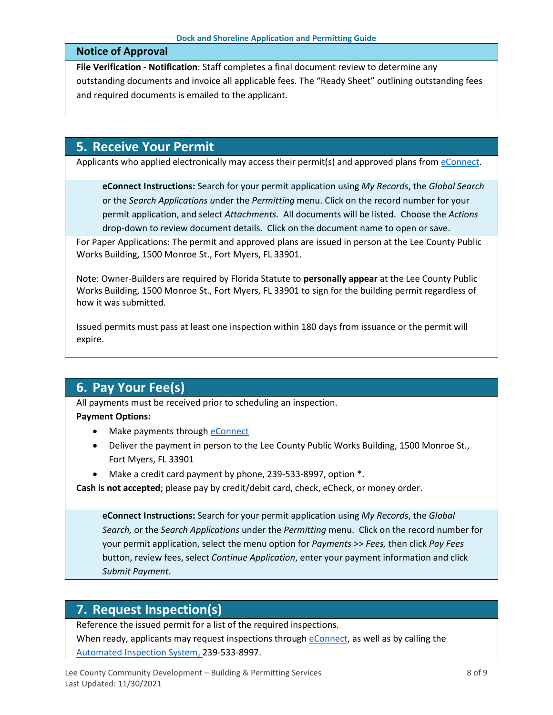#### **Notice of Approval**

**File Verification - Notification**: Staff completes a final document review to determine any outstanding documents and invoice all applicable fees. The "Ready Sheet" outlining outstanding fees and required documents is emailed to the applicant.

### <span id="page-7-0"></span>**5. Receive Your Permit**

Applicants who applied electronically may access their permit(s) and approved plans from [eConnect.](https://accelaaca.leegov.com/aca/)

**eConnect Instructions:** Search for your permit application using *My Records*, the *Global Search* or the *Search Applications u*nder the *Permitting* menu. Click on the record number for your permit application, and select *Attachments.* All documents will be listed. Choose the *Actions*  drop-down to review document details. Click on the document name to open or save.

For Paper Applications: The permit and approved plans are issued in person at the Lee County Public Works Building, 1500 Monroe St., Fort Myers, FL 33901.

Note: Owner-Builders are required by Florida Statute to **personally appear** at the Lee County Public Works Building, 1500 Monroe St., Fort Myers, FL 33901 to sign for the building permit regardless of how it was submitted.

Issued permits must pass at least one inspection within 180 days from issuance or the permit will expire.

## <span id="page-7-1"></span>**6. Pay Your Fee(s)**

All payments must be received prior to scheduling an inspection.

#### **Payment Options:**

- Make payments through [eConnect](https://accelaaca.leegov.com/aca/)
- Deliver the payment in person to the Lee County Public Works Building, 1500 Monroe St., Fort Myers, FL 33901
- Make a credit card payment by phone, 239-533-8997, option  $*$ .

**Cash is not accepted**; please pay by credit/debit card, check, eCheck, or money order.

**eConnect Instructions:** Search for your permit application using *My Records*, the *Global Search,* or the *Search Applications* under the *Permitting* menu. Click on the record number for your permit application, select the menu option for *Payments* >> *Fees,* then click *Pay Fees* button, review fees, select *Continue Application*, enter your payment information and click *Submit Payment*.

## <span id="page-7-2"></span>**7. Request Inspection(s)**

Reference the issued permit for a list of the required inspections.

When ready, applicants may request inspections through [eConnect,](https://accelaaca.leegov.com/aca/) as well as by calling the [Automated Inspection System,](https://www.leegov.com/dcd/BldPermitServ/Insp/AutoInsp) 239-533-8997.